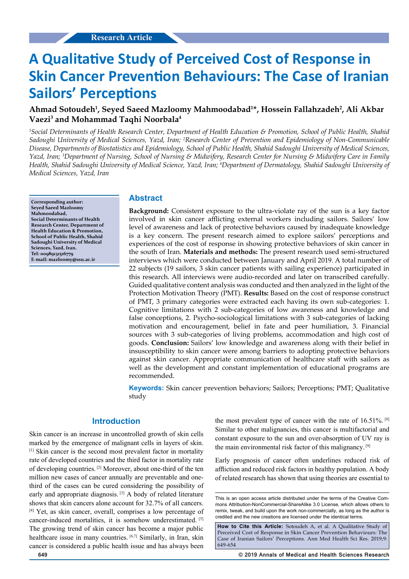# **A Qualitative Study of Perceived Cost of Response in Skin Cancer Prevention Behaviours: The Case of Iranian Sailors' Perceptions**

# **Ahmad Sotoudeh1 , Seyed Saeed Mazloomy Mahmoodabad1 \*, Hossein Fallahzadeh2 , Ali Akbar Vaezi3 and Mohammad Taqhi Noorbala4**

*1 Social Determinants of Health Research Center, Department of Health Education & Promotion, School of Public Health, Shahid Sadoughi University of Medical Sciences, Yazd, Iran; 2 Research Center of Prevention and Epidemiology of Non-Communicable Disease, Departments of Biostatistics and Epidemiology, School of Public Health, Shahid Sadoughi University of Medical Sciences, Yazd, Iran; 3 Department of Nursing, School of Nursing & Midwifery, Research Center for Nursing & Midwifery Care in Family Health, Shahid Sadoughi University of Medical Science, Yazd, Iran; 4 Department of Dermatology, Shahid Sadoughi University of Medical Sciences, Yazd, Iran*

**Corresponding author: Seyed Saeed Mazloomy Mahmoodabad, Social Determinants of Health Research Center, Department of Health Education & Promotion, School of Public Health, Shahid Sadoughi University of Medical Sciences, Yazd, Iran. Tel: 00989131516779 E-mail: mazloomy@ssu.ac.ir**

#### **Abstract**

**Background:** Consistent exposure to the ultra-violate ray of the sun is a key factor involved in skin cancer afflicting external workers including sailors. Sailors' low level of awareness and lack of protective behaviors caused by inadequate knowledge is a key concern. The present research aimed to explore sailors' perceptions and experiences of the cost of response in showing protective behaviors of skin cancer in the south of Iran. **Materials and methods:** The present research used semi-structured interviews which were conducted between January and April 2019. A total number of 22 subjects (19 sailors, 3 skin cancer patients with sailing experience) participated in this research. All interviews were audio-recorded and later on transcribed carefully. Guided qualitative content analysis was conducted and then analyzed in the light of the Protection Motivation Theory (PMT). **Results:** Based on the cost of response construct of PMT, 3 primary categories were extracted each having its own sub-categories: 1. Cognitive limitations with 2 sub-categories of low awareness and knowledge and false conceptions, 2. Psycho-sociological limitations with 3 sub-categories of lacking motivation and encouragement, belief in fate and peer humiliation, 3. Financial sources with 3 sub-categories of living problems, accommodation and high cost of goods. **Conclusion:** Sailors' low knowledge and awareness along with their belief in insusceptibility to skin cancer were among barriers to adopting protective behaviors against skin cancer. Appropriate communication of healthcare staff with sailors as well as the development and constant implementation of educational programs are recommended.

**Keywords:** Skin cancer prevention behaviors; Sailors; Perceptions; PMT; Qualitative study

# **Introduction**

Skin cancer is an increase in uncontrolled growth of skin cells marked by the emergence of malignant cells in layers of skin. [1] Skin cancer is the second most prevalent factor in mortality rate of developed countries and the third factor in mortality rate of developing countries. [2] Moreover, about one-third of the ten million new cases of cancer annually are preventable and onethird of the cases can be cured considering the possibility of early and appropriate diagnosis. [3] A body of related literature shows that skin cancers alone account for 32.7% of all cancers. [4] Yet, as skin cancer, overall, comprises a low percentage of cancer-induced mortalities, it is somehow underestimated. [5] The growing trend of skin cancer has become a major public healthcare issue in many countries. [6,7] Similarly, in Iran, skin cancer is considered a public health issue and has always been

the most prevalent type of cancer with the rate of  $16.51\%$ . [8] Similar to other malignancies, this cancer is multifactorial and constant exposure to the sun and over-absorption of UV ray is the main environmental risk factor of this malignancy. [9]

Early prognosis of cancer often underlines reduced risk of affliction and reduced risk factors in healthy population. A body of related research has shown that using theories are essential to

This is an open access article distributed under the terms of the Creative Com‑ mons Attribution‑NonCommercial‑ShareAlike 3.0 License, which allows others to remix, tweak, and build upon the work non-commercially, as long as the author is credited and the new creations are licensed under the identical terms.

How to Cite this Article: Sotoudeh A, et al. A Qualitative Study of Perceived Cost of Response in Skin Cancer Prevention Behaviours: The Case of Iranian Sailors' Perceptions. Ann Med Health Sci Res. 2019;9: 649-654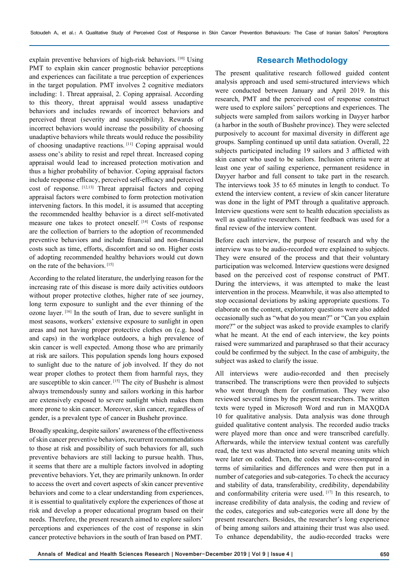explain preventive behaviors of high-risk behaviors. [10] Using PMT to explain skin cancer prognostic behavior perceptions and experiences can facilitate a true perception of experiences in the target population. PMT involves 2 cognitive mediators including: 1. Threat appraisal, 2. Coping appraisal. According to this theory, threat appraisal would assess unadaptive behaviors and includes rewards of incorrect behaviors and perceived threat (severity and susceptibility). Rewards of incorrect behaviors would increase the possibility of choosing unadaptive behaviors while threats would reduce the possibility of choosing unadaptive reactions. [11] Coping appraisal would assess one's ability to resist and repel threat. Increased coping appraisal would lead to increased protection motivation and thus a higher probability of behavior. Coping appraisal factors include response efficacy, perceived self-efficacy and perceived cost of response. [12,13] Threat appraisal factors and coping appraisal factors were combined to form protection motivation intervening factors. In this model, it is assumed that accepting the recommended healthy behavior is a direct self-motivated measure one takes to protect oneself. [14] Costs of response are the collection of barriers to the adoption of recommended preventive behaviors and include financial and non-financial costs such as time, efforts, discomfort and so on. Higher costs of adopting recommended healthy behaviors would cut down on the rate of the behaviors. [15]

According to the related literature, the underlying reason for the increasing rate of this disease is more daily activities outdoors without proper protective clothes, higher rate of see journey, long term exposure to sunlight and the ever thinning of the ozone layer. [16] In the south of Iran, due to severe sunlight in most seasons, workers' extensive exposure to sunlight in open areas and not having proper protective clothes on (e.g. hood and caps) in the workplace outdoors, a high prevalence of skin cancer is well expected. Among those who are primarily at risk are sailors. This population spends long hours exposed to sunlight due to the nature of job involved. If they do not wear proper clothes to protect them from harmful rays, they are susceptible to skin cancer. [15] The city of Bushehr is almost always tremendously sunny and sailors working in this harbor are extensively exposed to severe sunlight which makes them more prone to skin cancer. Moreover, skin cancer, regardless of gender, is a prevalent type of cancer in Bushehr province.

Broadly speaking, despite sailors' awareness of the effectiveness of skin cancer preventive behaviors, recurrent recommendations to those at risk and possibility of such behaviors for all, such preventive behaviors are still lacking to pursue health. Thus, it seems that there are a multiple factors involved in adopting preventive behaviors. Yet, they are primarily unknown. In order to access the overt and covert aspects of skin cancer preventive behaviors and come to a clear understanding from experiences, it is essential to qualitatively explore the experiences of those at risk and develop a proper educational program based on their needs. Therefore, the present research aimed to explore sailors' perceptions and experiences of the cost of response in skin cancer protective behaviors in the south of Iran based on PMT.

# **Research Methodology**

The present qualitative research followed guided content analysis approach and used semi-structured interviews which were conducted between January and April 2019. In this research, PMT and the perceived cost of response construct were used to explore sailors' perceptions and experiences. The subjects were sampled from sailors working in Dayyer harbor (a harbor in the south of Bushehr province). They were selected purposively to account for maximal diversity in different age groups. Sampling continued up until data satiation. Overall, 22 subjects participated including 19 sailors and 3 afflicted with skin cancer who used to be sailors. Inclusion criteria were at least one year of sailing experience, permanent residence in Dayyer harbor and full consent to take part in the research. The interviews took 35 to 65 minutes in length to conduct. To extend the interview content, a review of skin cancer literature was done in the light of PMT through a qualitative approach. Interview questions were sent to health education specialists as well as qualitative researchers. Their feedback was used for a final review of the interview content.

Before each interview, the purpose of research and why the interview was to be audio-recorded were explained to subjects. They were ensured of the process and that their voluntary participation was welcomed. Interview questions were designed based on the perceived cost of response construct of PMT. During the interviews, it was attempted to make the least intervention in the process. Meanwhile, it was also attempted to stop occasional deviations by asking appropriate questions. To elaborate on the content, exploratory questions were also added occasionally such as "what do you mean?" or "Can you explain more?" or the subject was asked to provide examples to clarify what he meant. At the end of each interview, the key points raised were summarized and paraphrased so that their accuracy could be confirmed by the subject. In the case of ambiguity, the subject was asked to clarify the issue.

All interviews were audio-recorded and then precisely transcribed. The transcriptions were then provided to subjects who went through them for confirmation. They were also reviewed several times by the present researchers. The written texts were typed in Microsoft Word and run in MAXQDA 10 for qualitative analysis. Data analysis was done through guided qualitative content analysis. The recorded audio tracks were played more than once and were transcribed carefully. Afterwards, while the interview textual content was carefully read, the text was abstracted into several meaning units which were later on coded. Then, the codes were cross-compared in terms of similarities and differences and were then put in a number of categories and sub-categories. To check the accuracy and stability of data, transferability, credibility, dependability and conformability criteria were used. [17] In this research, to increase credibility of data analysis, the coding and review of the codes, categories and sub-categories were all done by the present researchers. Besides, the researcher's long experience of being among sailors and attaining their trust was also used. To enhance dependability, the audio-recorded tracks were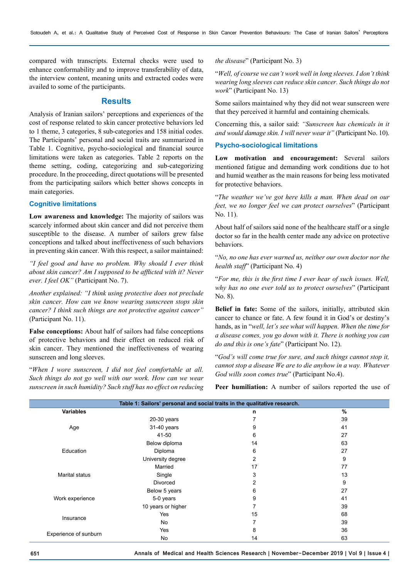compared with transcripts. External checks were used to enhance conformability and to improve transferability of data, the interview content, meaning units and extracted codes were availed to some of the participants.

### **Results**

Analysis of Iranian sailors' perceptions and experiences of the cost of response related to skin cancer protective behaviors led to 1 theme, 3 categories, 8 sub-categories and 158 initial codes. The Participants' personal and social traits are summarized in Table 1. Cognitive, psycho-sociological and financial source limitations were taken as categories. Table 2 reports on the theme setting, coding, categorizing and sub-categorizing procedure. In the proceeding, direct quotations will be presented from the participating sailors which better shows concepts in main categories.

#### **Cognitive limitations**

**Low awareness and knowledge:** The majority of sailors was scarcely informed about skin cancer and did not perceive them susceptible to the disease. A number of sailors grew false conceptions and talked about ineffectiveness of such behaviors in preventing skin cancer. With this respect, a sailor maintained:

*"I feel good and have no problem. Why should I ever think about skin cancer? Am I supposed to be afflicted with it? Never ever. I feel OK"* (Participant No. 7).

*Another explained: "I think using protective does not preclude skin cancer. How can we know wearing sunscreen stops skin cancer? I think such things are not protective against cancer"*  (Participant No. 11).

**False conceptions:** About half of sailors had false conceptions of protective behaviors and their effect on reduced risk of skin cancer. They mentioned the ineffectiveness of wearing sunscreen and long sleeves.

"*When I wore sunscreen, I did not feel comfortable at all. Such things do not go well with our work. How can we wear sunscreen in such humidity? Such stuff has no effect on reducing*  *the disease*" (Participant No. 3)

"*Well, of course we can't work well in long sleeves. I don't think wearing long sleeves can reduce skin cancer. Such things do not work*" (Participant No. 13)

Some sailors maintained why they did not wear sunscreen were that they perceived it harmful and containing chemicals.

Concerning this, a sailor said: *"Sunscreen has chemicals in it and would damage skin. I will never wear it"* (Participant No. 10).

#### **Psycho-sociological limitations**

**Low motivation and encouragement:** Several sailors mentioned fatigue and demanding work conditions due to hot and humid weather as the main reasons for being less motivated for protective behaviors.

"*The weather we've got here kills a man. When dead on our feet, we no longer feel we can protect ourselves*" (Participant No. 11).

About half of sailors said none of the healthcare staff or a single doctor so far in the health center made any advice on protective behaviors.

"*No, no one has ever warned us, neither our own doctor nor the health staff*" (Participant No. 4)

"*For me, this is the first time I ever hear of such issues. Well, why has no one ever told us to protect ourselves*" (Participant No. 8).

**Belief in fate:** Some of the sailors, initially, attributed skin cancer to chance or fate. A few found it in God's or destiny's hands, as in "*well, let's see what will happen. When the time for a disease comes, you go down with it. There is nothing you can do and this is one's fate*" (Participant No. 12).

"*God's will come true for sure, and such things cannot stop it, cannot stop a disease We are to die anyhow in a way. Whatever God wills soon comes true*" (Participant No.4).

Peer humiliation: A number of sailors reported the use of

| Table 1: Sailors' personal and social traits in the qualitative research. |                    |                |    |  |  |
|---------------------------------------------------------------------------|--------------------|----------------|----|--|--|
| <b>Variables</b>                                                          |                    | n              | %  |  |  |
| Age                                                                       | $20-30$ years      | 7              | 39 |  |  |
|                                                                           | 31-40 years        | 9              | 41 |  |  |
|                                                                           | 41-50              | 6              | 27 |  |  |
| Education                                                                 | Below diploma      | 14             | 63 |  |  |
|                                                                           | Diploma            | 6              | 27 |  |  |
|                                                                           | University degree  | $\overline{2}$ | 9  |  |  |
| <b>Marital status</b>                                                     | Married            | 17             | 77 |  |  |
|                                                                           | Single             | 3              | 13 |  |  |
|                                                                           | Divorced           | 2              | 9  |  |  |
|                                                                           | Below 5 years      | 6              | 27 |  |  |
| Work experience                                                           | 5-0 years          | 9              | 41 |  |  |
|                                                                           | 10 years or higher | 7              | 39 |  |  |
| Insurance                                                                 | Yes                | 15             | 68 |  |  |
|                                                                           | No                 | 7              | 39 |  |  |
| Experience of sunburn                                                     | Yes                | 8              | 36 |  |  |
|                                                                           | No                 | 14             | 63 |  |  |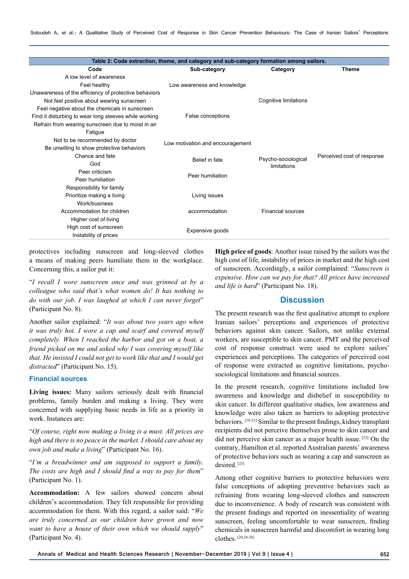| Table 2: Code extraction, theme, and category and sub-category formation among sailors. |                                  |                          |                            |  |  |
|-----------------------------------------------------------------------------------------|----------------------------------|--------------------------|----------------------------|--|--|
| Code                                                                                    | Sub-category                     | Category                 | <b>Theme</b>               |  |  |
| A low level of awareness                                                                |                                  |                          |                            |  |  |
| Feel healthy                                                                            | Low awareness and knowledge      |                          |                            |  |  |
| Unawareness of the efficiency of protective behaviors                                   |                                  |                          |                            |  |  |
| Not feel positive about wearing sunscreen                                               |                                  | Cognitive limitations    |                            |  |  |
| Feel negative about the chemicals in sunscreen                                          |                                  |                          |                            |  |  |
| Find it disturbing to wear long sleeves while working                                   | False conceptions                |                          |                            |  |  |
| Refrain from wearing sunscreen due to moist in air                                      |                                  |                          |                            |  |  |
| Fatique                                                                                 |                                  |                          |                            |  |  |
| Not to be recommended by doctor                                                         | Low motivation and encouragement |                          |                            |  |  |
| Be unwilling to show protective behaviors                                               |                                  |                          |                            |  |  |
| Chance and fate                                                                         | Belief in fate                   | Psycho-sociological      | Perceived cost of response |  |  |
| God                                                                                     |                                  | limitations              |                            |  |  |
| Peer criticism                                                                          | Peer humiliation                 |                          |                            |  |  |
| Peer humiliation                                                                        |                                  |                          |                            |  |  |
| Responsibility for family                                                               |                                  |                          |                            |  |  |
| Prioritize making a living                                                              | Living issues                    |                          |                            |  |  |
| Work/business                                                                           |                                  |                          |                            |  |  |
| Accommodation for children                                                              | accommodation                    | <b>Financial sources</b> |                            |  |  |
| Higher cost of living                                                                   |                                  |                          |                            |  |  |
| High cost of sunscreen                                                                  | Expensive goods                  |                          |                            |  |  |
| Instability of prices                                                                   |                                  |                          |                            |  |  |

protectives including sunscreen and long-sleeved clothes a means of making peers humiliate them in the workplace. Concerning this, a sailor put it:

"*I recall I wore sunscreen once and was grinned at by a colleague who said that's what women do! It has nothing to do with our job. I was laughed at which I can never forget*" (Participant No. 8).

Another sailor explained: "*It was about two years ago when it was truly hot. I wore a cap and scarf and covered myself completely. When I reached the harbor and got on a boat, a friend picked on me and asked why I was covering myself like that. He insisted I could not get to work like that and I would get distracted*" (Participant No. 15).

#### **Financial sources**

**Living issues:** Many sailors seriously dealt with financial problems, family burden and making a living. They were concerned with supplying basic needs in life as a priority in work. Instances are:

"*Of course, right now making a living is a must. All prices are high and there is no peace in the market. I should care about my own job and make a living*" (Participant No. 16).

"*I'm a breadwinner and am supposed to support a family. The costs are high and I should find a way to pay for them*" (Participant No. 1).

**Accommodation:** A few sailors showed concern about children's accommodation. They felt responsible for providing accommodation for them. With this regard, a sailor said: "*We are truly concerned as our children have grown and now want to have a house of their own which we should supply*" (Participant No. 4).

**High price of goods**: Another issue raised by the sailors was the high cost of life, instability of prices in market and the high cost of sunscreen. Accordingly, a sailor complained: "*Sunscreen is expensive. How can we pay for that? All prices have increased and life is hard*" (Participant No. 18).

# **Discussion**

The present research was the first qualitative attempt to explore Iranian sailors' perceptions and experiences of protective behaviors against skin cancer. Sailors, not unlike external workers, are susceptible to skin cancer. PMT and the perceived cost of response construct were used to explore sailors' experiences and perceptions. The categories of perceived cost of response were extracted as cognitive limitations, psychosociological limitations and financial sources.

In the present research, cognitive limitations included low awareness and knowledge and disbelief in susceptibility to skin cancer. In different qualitative studies, low awareness and knowledge were also taken as barriers to adopting protective behaviors. [18-21] Similar to the present findings, kidney transplant recipients did not perceive themselves prone to skin cancer and did not perceive skin cancer as a major health issue. [22] On the contrary, Hamilton et al. reported Australian parents' awareness of protective behaviors such as wearing a cap and sunscreen as desired<sup>[23]</sup>

Among other cognitive barriers to protective behaviors were false conceptions of adopting preventive behaviors such as refraining from wearing long-sleeved clothes and sunscreen due to inconvenience. A body of research was consistent with the present findings and reported on inessentiality of wearing sunscreen, feeling uncomfortable to wear sunscreen, finding chemicals in sunscreen harmful and discomfort in wearing long clothes. [20,24-26]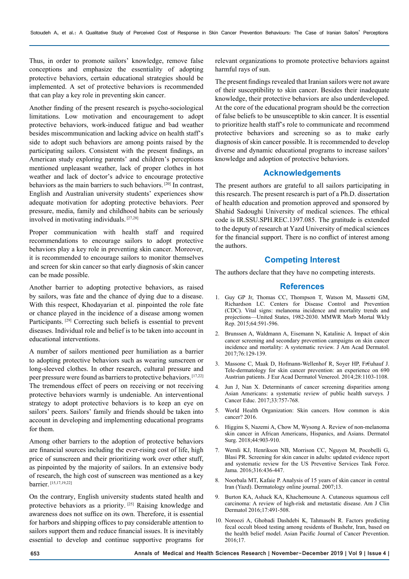Thus, in order to promote sailors' knowledge, remove false conceptions and emphasize the essentiality of adopting protective behaviors, certain educational strategies should be implemented. A set of protective behaviors is recommended that can play a key role in preventing skin cancer.

Another finding of the present research is psycho-sociological limitations. Low motivation and encouragement to adopt protective behaviors, work-induced fatigue and bad weather besides miscommunication and lacking advice on health staff's side to adopt such behaviors are among points raised by the participating sailors. Consistent with the present findings, an American study exploring parents' and children's perceptions mentioned unpleasant weather, lack of proper clothes in hot weather and lack of doctor's advice to encourage protective behaviors as the main barriers to such behaviors. [20] In contrast, English and Australian university students' experiences show adequate motivation for adopting protective behaviors. Peer pressure, media, family and childhood habits can be seriously involved in motivating individuals. [27,28]

Proper communication with health staff and required recommendations to encourage sailors to adopt protective behaviors play a key role in preventing skin cancer. Moreover, it is recommended to encourage sailors to monitor themselves and screen for skin cancer so that early diagnosis of skin cancer can be made possible.

Another barrier to adopting protective behaviors, as raised by sailors, was fate and the chance of dying due to a disease. With this respect, Khodayarian et al. pinpointed the role fate or chance played in the incidence of a disease among women Participants.<sup>[29]</sup> Correcting such beliefs is essential to prevent diseases. Individual role and belief is to be taken into account in educational interventions.

A number of sailors mentioned peer humiliation as a barrier to adopting protective behaviors such as wearing sunscreen or long-sleeved clothes. In other research, cultural pressure and peer pressure were found as barriers to protective behaviors. [17,22] The tremendous effect of peers on receiving or not receiving protective behaviors warmly is undeniable. An interventional strategy to adopt protective behaviors is to keep an eye on sailors' peers. Sailors' family and friends should be taken into account in developing and implementing educational programs for them.

Among other barriers to the adoption of protective behaviors are financial sources including the ever-rising cost of life, high price of sunscreen and their prioritizing work over other stuff, as pinpointed by the majority of sailors. In an extensive body of research, the high cost of sunscreen was mentioned as a key barrier. [15,17,19,22]

On the contrary, English university students stated health and protective behaviors as a priority. [25] Raising knowledge and awareness does not suffice on its own. Therefore, it is essential for harbors and shipping offices to pay considerable attention to sailors support them and reduce financial issues. It is inevitably essential to develop and continue supportive programs for

relevant organizations to promote protective behaviors against harmful rays of sun.

The present findings revealed that Iranian sailors were not aware of their susceptibility to skin cancer. Besides their inadequate knowledge, their protective behaviors are also underdeveloped. At the core of the educational program should be the correction of false beliefs to be unsusceptible to skin cancer. It is essential to prioritize health staff's role to communicate and recommend protective behaviors and screening so as to make early diagnosis of skin cancer possible. It is recommended to develop diverse and dynamic educational programs to increase sailors' knowledge and adoption of protective behaviors.

#### **Acknowledgements**

The present authors are grateful to all sailors participating in this research. The present research is part of a Ph.D. dissertation of health education and promotion approved and sponsored by Shahid Sadoughi University of medical sciences. The ethical code is IR.SSU.SPH.REC.1397.085. The gratitude is extended to the deputy of research at Yazd University of medical sciences for the financial support. There is no conflict of interest among the authors.

# **Competing Interest**

The authors declare that they have no competing interests.

#### **References**

- 1. Guy GP Jr, Thomas CC, Thompson T, Watson M, Massetti GM, Richardson LC. Centers for Disease Control and Prevention (CDC). Vital signs: melanoma incidence and mortality trends and projections—United States, 1982-2030. MMWR Morb Mortal Wkly Rep. 2015;64:591-596.
- 2. Brunssen A, Waldmann A, Eisemann N, Katalinic A. Impact of skin cancer screening and secondary prevention campaigns on skin cancer incidence and mortality: A systematic review. J Am Acad Dermatol. 2017;76:129-139.
- 3. Massone C, Maak D, Hofmann-Wellenhof R, Soyer HP, Fr€uhauf J. Tele-dermatology for skin cancer prevention: an experience on 690 Austrian patients. J Eur Acad Dermatol Venereol. 2014;28:1103-1108.
- 4. Jun J, Nan X. Determinants of cancer screening disparities among Asian Americans: a systematic review of public health surveys. J Cancer Educ. 2017;33:757-768.
- 5. World Health Organization: Skin cancers. How common is skin cancer? 2016.
- 6. Higgins S, Nazemi A, Chow M, Wysong A. Review of non-melanoma skin cancer in African Americans, Hispanics, and Asians. Dermatol Surg. 2018;44:903-910.
- 7. Wernli KJ, Henrikson NB, Morrison CC, Nguyen M, Pocobelli G, Blasi PR. Screening for skin cancer in adults: updated evidence report and systematic review for the US Preventive Services Task Force. Jama. 2016;316:436-447.
- 8. Noorbala MT, Kafaie P. Analysis of 15 years of skin cancer in central Iran (Yazd). Dermatology online journal. 2007;13.
- 9. Burton KA, Ashack KA, Khachemoune A. Cutaneous squamous cell carcinoma: A review of high-risk and metastatic disease. Am J Clin Dermatol 2016;17:491-508.
- 10. Noroozi A, Ghobadi Dashdebi K, Tahmasebi R. Factors predicting fecal occult blood testing among residents of Bushehr, Iran, based on the health belief model. Asian Pacific Journal of Cancer Prevention. 2016;17.